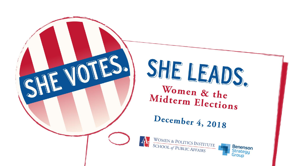

### SHE LEADS. Women & the Midterm Elections

December 4, 2018



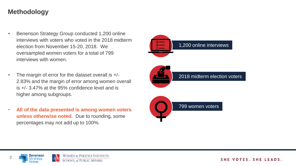#### **Methodology**

- Benenson Strategy Group conducted 1,200 online interviews with voters who voted in the 2018 midterm election from November 15-20, 2018. We oversampled women voters for a total of 799 interviews with women.
- The margin of error for the dataset overall is  $+/-$ 2.83% and the margin of error among women overall is +/- 3.47% at the 95% confidence level and is higher among subgroups.
- **All of the data presented is among women voters unless otherwise noted**. Due to rounding, some percentages may not add up to 100%.



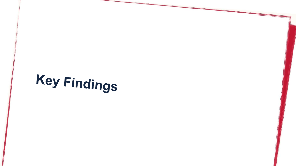## **Key Findings**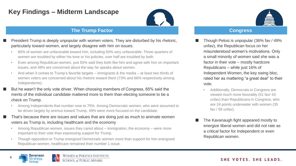#### **Key Findings – Midterm Landscape**



#### **The Trump Factor Congress**

- President Trump is deeply unpopular with women voters. They are disturbed by his rhetoric, particularly toward women, and largely disagree with him on issues.
- ▸ 60% of women are unfavorable toward him, including 50% very unfavorable. Three-quarters of women are troubled by either his tone or his policies, over half are troubled by both.
- Even among Republican women, just 55% said they both like him and agree with him on important issues, and 48% are concerned about the way he speaks about women.
- And when it comes to Trump's favorite targets immigrants & the media at least two thirds of women voters are concerned about his rhetoric toward them (73% and 66% respectively among Independents).
- But he wasn't the only vote driver. When choosing members of Congress, 65% said the merits of the individual candidate mattered more to them than electing someone to be a check on Trump.
- Among Independents that number rose to 75%. Among Democratic women, who were assumed to be driven largely by animus toward Trump, 49% were more focused on the candidate.
- That's because there are issues and values that are doing just as much to animate women voters as Trump is, including healthcare and the economy
- Among Republican women, issues they cared about immigration, the economy were more important to their vote than expressing support for Trump.
- Though opposition to Trump energized Democratic women more than support for him energized Republican women, healthcare remained their number 1 issue.



- Though Pelosi is unpopular (36% fav / 49% unfav), the Republican focus on her misunderstood women's motivations. Only a small minority of women said she was a factor in their vote – mostly hardcore Republicans – while just 16% of Independent Women, the key swing bloc, rated her as mattering "a great deal" to their vote.
	- Additionally, Democrats in Congress are viewed much more favorably (51 fav/ 43 unfav) than Republicans in Congress, who are 24 points underwater with women (35 fav / 59 unfav).
- The Kavanaugh fight appeared mostly to energize liberal women and did not rate as a critical factor for Independent or even Republican women.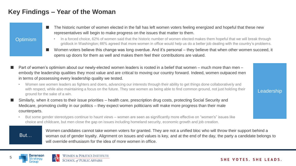#### **Key Findings – Year of the Woman**

- The historic number of women elected in the fall has left women voters feeling energized and hopeful that these new representatives will begin to make progress on the issues that matter to them.
- **Optimism**
- In a forced choice, 62% of women said that the historic number of women elected makes them hopeful that we will break through gridlock in Washington; 66% agreed that more women in office would help us do a better job dealing with the country's problems.
- Women voters believe this change was long overdue. And it's personal they believe that when other women succeed, it opens up doors for them as well and makes them feel their contributions are valued.
- Part of women's optimism about our newly-elected women leaders is rooted in a belief that women much more than men embody the leadership qualities they most value and are critical to moving our country forward. Indeed, women outpaced men in terms of possessing every leadership quality we tested.
	- Women see women leaders as fighters and doers, advancing our interests through their ability to get things done collaboratively and with respect, while also maintaining a focus on the future. They see women as being able to find common ground, not just holding their ground for the sake of a win.
- Similarly, when it comes to their issue priorities health care, prescription drug costs, protecting Social Security and Medicare, promoting civility in our politics – they expect women politicians will make more progress than their male counterparts.
	- ▸ But some gender stereotypes continue to haunt views women are seen as significantly more effective on "women's" issues like choice and childcare, but men close the gap on issues including homeland security, economic growth and job creation.

But…

Benenson

arouo

Women candidates cannot take women voters for granted. They are not a unified bloc who will throw their support behind a woman out of gender loyalty. Alignment on issues and values is key, and at the end of the day, the party a candidate belongs to will override enthusiasm for the idea of more women in office.

SHE VOTES, SHE LEADS.

Leadership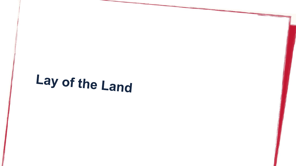### Lay of the Land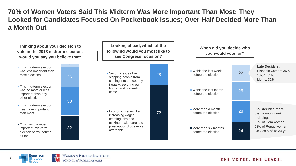**70% of Women Voters Said This Midterm Was More Important Than Most; They Looked for Candidates Focused On Pocketbook Issues; Over Half Decided More Than a Month Out**





7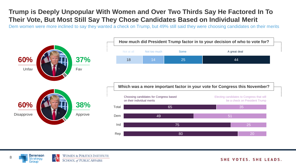### **Trump is Deeply Unpopular With Women and Over Two Thirds Say He Factored In To Their Vote, But Most Still Say They Chose Candidates Based on Individual Merit**

Dem women were more inclined to say they wanted a check on Trump, but 49% still said they were choosing candidates on their merits



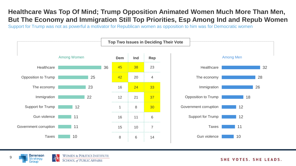#### **Healthcare Was Top Of Mind; Trump Opposition Animated Women Much More Than Men, But The Economy and Immigration Still Top Priorities, Esp Among Ind and Repub Women**

Support for Trump was not as powerful a motivator for Republican women as opposition to him was for Democratic women





9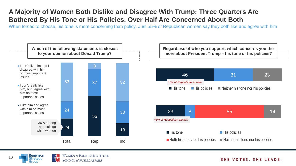### **A Majority of Women Both Dislike and Disagree With Trump; Three Quarters Are Bothered By His Tone or His Policies, Over Half Are Concerned About Both**

When forced to choose, his tone is more concerning than policy. Just 55% of Republican women say they both like and agree with him



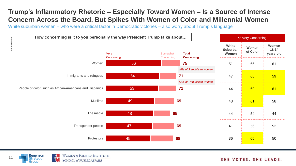### **Trump's Inflammatory Rhetoric – Especially Toward Women – Is a Source of Intense Concern Across the Board, But Spikes With Women of Color and Millennial Women**

White suburban women – who were a critical factor in Democratic victories – also worry about Trump's language



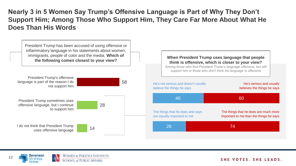**Nearly 3 in 5 Women Say Trump's Offensive Language is Part of Why They Don't Support Him; Among Those Who Support Him, They Care Far More About What He Does Than His Words**



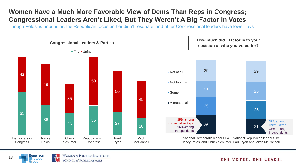### **Women Have a Much More Favorable View of Dems Than Reps in Congress; Congressional Leaders Aren't Liked, But They Weren't A Big Factor In Votes**

Though Pelosi is unpopular, the Republican focus on her didn't resonate, and other Congressional leaders have lower favs



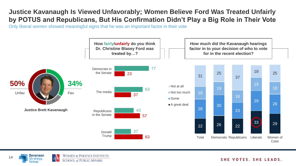#### **Justice Kavanaugh Is Viewed Unfavorably; Women Believe Ford Was Treated Unfairly by POTUS and Republicans, But His Confirmation Didn't Play a Big Role in Their Vote**

Only liberal women showed meaningful signs that he was an important factor in their vote



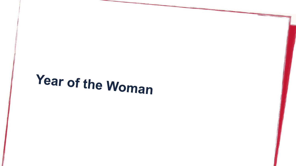# Year of the Woman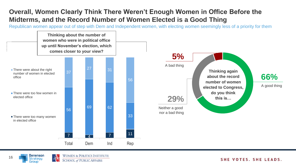#### **Overall, Women Clearly Think There Weren't Enough Women in Office Before the Midterms, and the Record Number of Women Elected is a Good Thing**

Republican women appear out of step with Dem and Independent women, with electing women seemingly less of a priority for them





Benenson Strateou

Grouo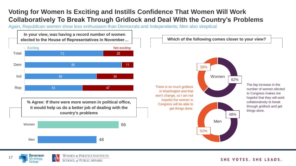#### **Voting for Women Is Exciting and Instills Confidence That Women Will Work Collaboratively To Break Through Gridlock and Deal With the Country's Problems**

Again, Republican women show less enthusiasm than Democrats and Independents; Men also skeptical



**SCHOOL of PUBLIC AFFAIRS** 

SHE VOTES, SHE LEADS.

strateou

Grouo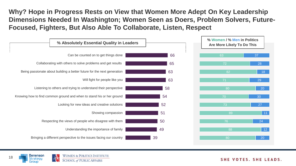**Why? Hope in Progress Rests on View that Women More Adept On Key Leadership Dimensions Needed In Washington; Women Seen as Doers, Problem Solvers, Future-Focused, Fighters, But Also Able To Collaborate, Listen, Respect**



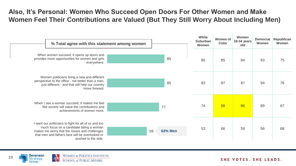#### **Also, It's Personal: Women Who Succeed Open Doors For Other Women and Make Women Feel Their Contributions are Valued (But They Still Worry About Including Men)**

| % Total agree with this statement among women                                                                                                                                                                               |    |                | White<br>Suburban<br>Women | Women of<br>Color | Women<br>18-34 years<br>old | Women | Democrat Republican<br>Women |
|-----------------------------------------------------------------------------------------------------------------------------------------------------------------------------------------------------------------------------|----|----------------|----------------------------|-------------------|-----------------------------|-------|------------------------------|
| When women succeed, it opens up doors and<br>provides more opportunities for women and girls<br>everywhere.                                                                                                                 |    | 85             | 85                         | 85                | 84                          | 93    | 75                           |
| Women politicians bring a new and different<br>perspective to the office - not better than a man,<br>just different - and that will help our country<br>move forward.                                                       |    | 85             | 83<br>                     | 87                | 87                          | 94    | 76                           |
| When I see a woman succeed, it makes me feel<br>like society will value the contributions and<br>achievements of women more.                                                                                                |    | 77             | 74                         | 88                | 86                          | 89    | 67                           |
| I want our politicians to fight for all of us and too<br>much focus on a candidate being a woman<br>makes me worry that the issues and challenges<br>that men and fathers face will be overlooked or<br>pushed to the side. | 59 | <b>63% Men</b> | 53                         | 66                | 59                          | 56    | 68                           |

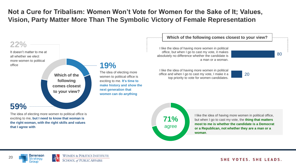#### **Not a Cure for Tribalism: Women Won't Vote for Women for the Sake of It; Values, Vision, Party Matter More Than The Symbolic Victory of Female Representation**



Benenson itrateou Grouo

20

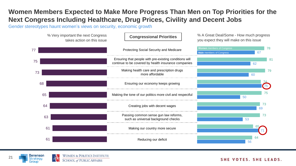#### **Women Members Expected to Make More Progress Than Men on Top Priorities for the Next Congress Including Healthcare, Drug Prices, Civility and Decent Jobs**

Gender stereotypes haunt women's views on security, economic growth



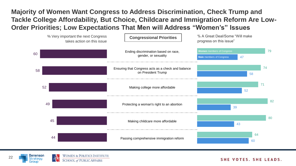#### **Majority of Women Want Congress to Address Discrimination, Check Trump and Tackle College Affordability, But Choice, Childcare and Immigration Reform Are Low-Order Priorities; Low Expectations That Men will Address "Women's" Issues**